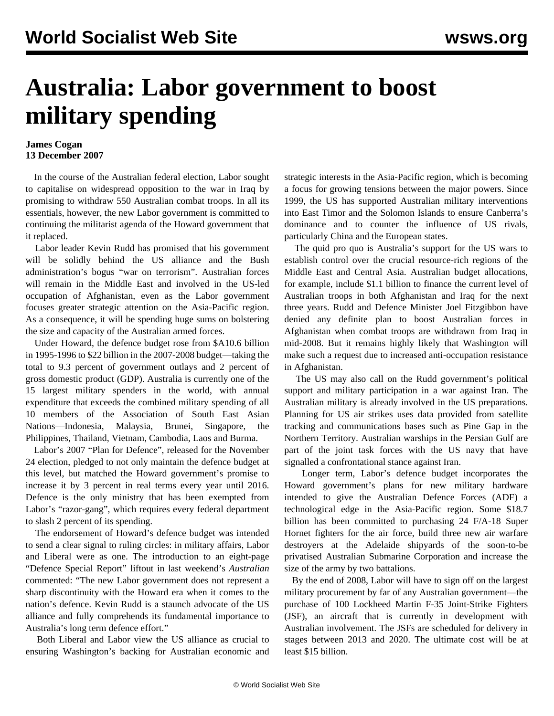## **Australia: Labor government to boost military spending**

## **James Cogan 13 December 2007**

 In the course of the Australian federal election, Labor sought to capitalise on widespread opposition to the war in Iraq by promising to withdraw 550 Australian combat troops. In all its essentials, however, the new Labor government is committed to continuing the militarist agenda of the Howard government that it replaced.

 Labor leader Kevin Rudd has promised that his government will be solidly behind the US alliance and the Bush administration's bogus "war on terrorism". Australian forces will remain in the Middle East and involved in the US-led occupation of Afghanistan, even as the Labor government focuses greater strategic attention on the Asia-Pacific region. As a consequence, it will be spending huge sums on bolstering the size and capacity of the Australian armed forces.

 Under Howard, the defence budget rose from \$A10.6 billion in 1995-1996 to \$22 billion in the 2007-2008 budget—taking the total to 9.3 percent of government outlays and 2 percent of gross domestic product (GDP). Australia is currently one of the 15 largest military spenders in the world, with annual expenditure that exceeds the combined military spending of all 10 members of the Association of South East Asian Nations—Indonesia, Malaysia, Brunei, Singapore, the Philippines, Thailand, Vietnam, Cambodia, Laos and Burma.

 Labor's 2007 "Plan for Defence", released for the November 24 election, pledged to not only maintain the defence budget at this level, but matched the Howard government's promise to increase it by 3 percent in real terms every year until 2016. Defence is the only ministry that has been exempted from Labor's "razor-gang", which requires every federal department to slash 2 percent of its spending.

 The endorsement of Howard's defence budget was intended to send a clear signal to ruling circles: in military affairs, Labor and Liberal were as one. The introduction to an eight-page "Defence Special Report" liftout in last weekend's *Australian* commented: "The new Labor government does not represent a sharp discontinuity with the Howard era when it comes to the nation's defence. Kevin Rudd is a staunch advocate of the US alliance and fully comprehends its fundamental importance to Australia's long term defence effort."

 Both Liberal and Labor view the US alliance as crucial to ensuring Washington's backing for Australian economic and strategic interests in the Asia-Pacific region, which is becoming a focus for growing tensions between the major powers. Since 1999, the US has supported Australian military interventions into East Timor and the Solomon Islands to ensure Canberra's dominance and to counter the influence of US rivals, particularly China and the European states.

 The quid pro quo is Australia's support for the US wars to establish control over the crucial resource-rich regions of the Middle East and Central Asia. Australian budget allocations, for example, include \$1.1 billion to finance the current level of Australian troops in both Afghanistan and Iraq for the next three years. Rudd and Defence Minister Joel Fitzgibbon have denied any definite plan to boost Australian forces in Afghanistan when combat troops are withdrawn from Iraq in mid-2008. But it remains highly likely that Washington will make such a request due to increased anti-occupation resistance in Afghanistan.

 The US may also call on the Rudd government's political support and military participation in a war against Iran. The Australian military is already involved in the US preparations. Planning for US air strikes uses data provided from satellite tracking and communications bases such as Pine Gap in the Northern Territory. Australian warships in the Persian Gulf are part of the joint task forces with the US navy that have signalled a confrontational stance against Iran.

 Longer term, Labor's defence budget incorporates the Howard government's plans for new military hardware intended to give the Australian Defence Forces (ADF) a technological edge in the Asia-Pacific region. Some \$18.7 billion has been committed to purchasing 24 F/A-18 Super Hornet fighters for the air force, build three new air warfare destroyers at the Adelaide shipyards of the soon-to-be privatised Australian Submarine Corporation and increase the size of the army by two battalions.

 By the end of 2008, Labor will have to sign off on the largest military procurement by far of any Australian government—the purchase of 100 Lockheed Martin F-35 Joint-Strike Fighters (JSF), an aircraft that is currently in development with Australian involvement. The JSFs are scheduled for delivery in stages between 2013 and 2020. The ultimate cost will be at least \$15 billion.